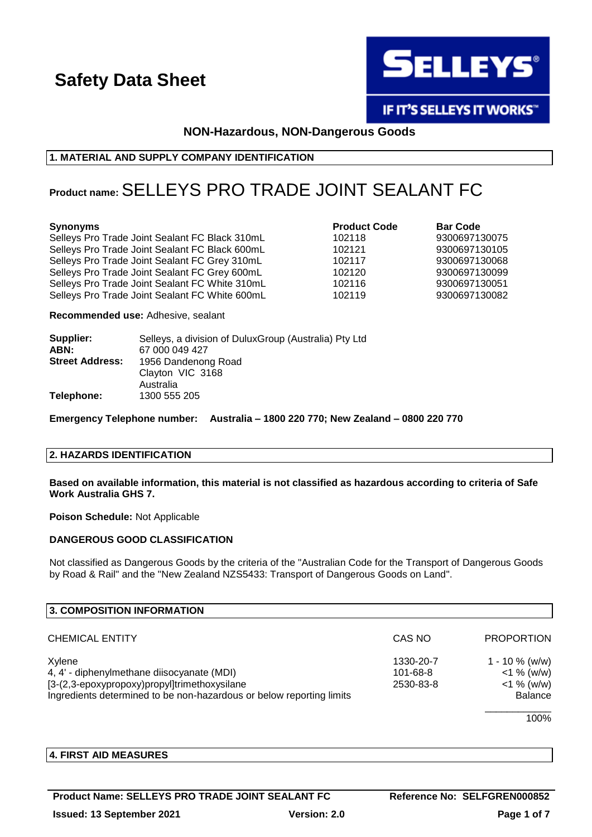

**IF IT'S SELLEYS IT WORKS"** 

# **NON-Hazardous, NON-Dangerous Goods**

# **1. MATERIAL AND SUPPLY COMPANY IDENTIFICATION**

# **Product name:**SELLEYS PRO TRADE JOINT SEALANT FC

#### **Synonyms Product Code Bar Code**

Selleys Pro Trade Joint Sealant FC Black 310mL 102118 9300697130075 Selleys Pro Trade Joint Sealant FC Black 600mL 102121 9300697130105 Selleys Pro Trade Joint Sealant FC Grey 310mL 102117 9300697130068 Selleys Pro Trade Joint Sealant FC Grey 600mL 102120 9300697130099 Selleys Pro Trade Joint Sealant FC White 310mL 102116 9300697130051 Selleys Pro Trade Joint Sealant FC White 600mL 102119 9300697130082

**Recommended use:** Adhesive, sealant

| Supplier:              | Selleys, a division of Dulux Group (Australia) Pty Ltd |
|------------------------|--------------------------------------------------------|
| ABN:                   | 67 000 049 427                                         |
| <b>Street Address:</b> | 1956 Dandenong Road                                    |
|                        | Clayton VIC 3168                                       |
|                        | Australia                                              |
| Telephone:             | 1300 555 205                                           |

**Emergency Telephone number: Australia – 1800 220 770; New Zealand – 0800 220 770**

#### **2. HAZARDS IDENTIFICATION**

**Based on available information, this material is not classified as hazardous according to criteria of Safe Work Australia GHS 7.**

**Poison Schedule:** Not Applicable

# **DANGEROUS GOOD CLASSIFICATION**

Not classified as Dangerous Goods by the criteria of the "Australian Code for the Transport of Dangerous Goods by Road & Rail" and the "New Zealand NZS5433: Transport of Dangerous Goods on Land".

| 3. COMPOSITION INFORMATION                                           |                |                   |
|----------------------------------------------------------------------|----------------|-------------------|
| <b>CHEMICAL ENTITY</b>                                               | CAS NO         | <b>PROPORTION</b> |
| Xylene                                                               | 1330-20-7      | 1 - 10 $\%$ (w/w) |
| 4, 4' - diphenylmethane diisocyanate (MDI)                           | $101 - 68 - 8$ | $<$ 1 % (w/w)     |
| [3-(2,3-epoxypropoxy)propyl]trimethoxysilane                         | 2530-83-8      | $<$ 1 % (w/w)     |
| Ingredients determined to be non-hazardous or below reporting limits |                | <b>Balance</b>    |
|                                                                      |                | 1000              |

100%

# **4. FIRST AID MEASURES**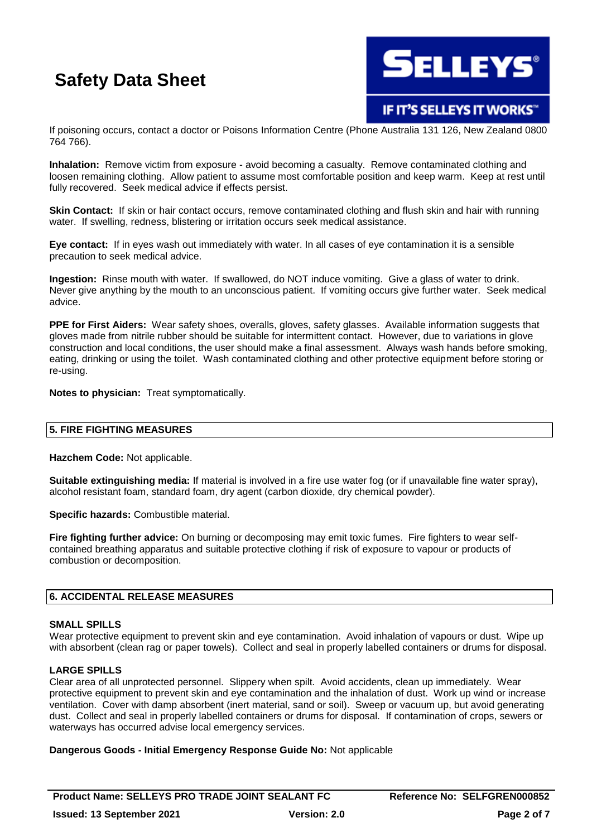

**IF IT'S SELLEYS IT WORKS"** 

If poisoning occurs, contact a doctor or Poisons Information Centre (Phone Australia 131 126, New Zealand 0800 764 766).

**Inhalation:** Remove victim from exposure - avoid becoming a casualty. Remove contaminated clothing and loosen remaining clothing. Allow patient to assume most comfortable position and keep warm. Keep at rest until fully recovered. Seek medical advice if effects persist.

**Skin Contact:** If skin or hair contact occurs, remove contaminated clothing and flush skin and hair with running water. If swelling, redness, blistering or irritation occurs seek medical assistance.

**Eye contact:** If in eyes wash out immediately with water. In all cases of eye contamination it is a sensible precaution to seek medical advice.

**Ingestion:** Rinse mouth with water. If swallowed, do NOT induce vomiting. Give a glass of water to drink. Never give anything by the mouth to an unconscious patient. If vomiting occurs give further water. Seek medical advice.

**PPE for First Aiders:** Wear safety shoes, overalls, gloves, safety glasses. Available information suggests that gloves made from nitrile rubber should be suitable for intermittent contact. However, due to variations in glove construction and local conditions, the user should make a final assessment. Always wash hands before smoking, eating, drinking or using the toilet. Wash contaminated clothing and other protective equipment before storing or re-using.

**Notes to physician:** Treat symptomatically.

# **5. FIRE FIGHTING MEASURES**

**Hazchem Code:** Not applicable.

**Suitable extinguishing media:** If material is involved in a fire use water fog (or if unavailable fine water spray), alcohol resistant foam, standard foam, dry agent (carbon dioxide, dry chemical powder).

**Specific hazards:** Combustible material.

**Fire fighting further advice:** On burning or decomposing may emit toxic fumes. Fire fighters to wear selfcontained breathing apparatus and suitable protective clothing if risk of exposure to vapour or products of combustion or decomposition.

# **6. ACCIDENTAL RELEASE MEASURES**

# **SMALL SPILLS**

Wear protective equipment to prevent skin and eye contamination. Avoid inhalation of vapours or dust. Wipe up with absorbent (clean rag or paper towels). Collect and seal in properly labelled containers or drums for disposal.

# **LARGE SPILLS**

Clear area of all unprotected personnel. Slippery when spilt. Avoid accidents, clean up immediately. Wear protective equipment to prevent skin and eye contamination and the inhalation of dust. Work up wind or increase ventilation. Cover with damp absorbent (inert material, sand or soil). Sweep or vacuum up, but avoid generating dust. Collect and seal in properly labelled containers or drums for disposal. If contamination of crops, sewers or waterways has occurred advise local emergency services.

**Dangerous Goods - Initial Emergency Response Guide No:** Not applicable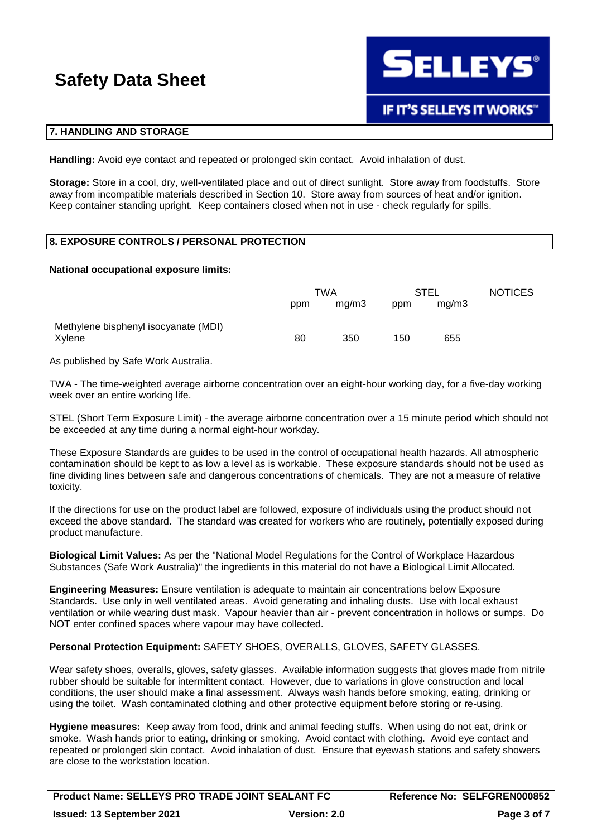

# **7. HANDLING AND STORAGE**

**Handling:** Avoid eye contact and repeated or prolonged skin contact. Avoid inhalation of dust.

**Storage:** Store in a cool, dry, well-ventilated place and out of direct sunlight. Store away from foodstuffs. Store away from incompatible materials described in Section 10. Store away from sources of heat and/or ignition. Keep container standing upright. Keep containers closed when not in use - check regularly for spills.

### **8. EXPOSURE CONTROLS / PERSONAL PROTECTION**

#### **National occupational exposure limits:**

|                                                | TWA |       | STEL |       | <b>NOTICES</b> |
|------------------------------------------------|-----|-------|------|-------|----------------|
|                                                | ppm | mq/m3 | ppm  | mg/m3 |                |
| Methylene bisphenyl isocyanate (MDI)<br>Xylene | 80  | 350   | 150  | 655   |                |

As published by Safe Work Australia.

TWA - The time-weighted average airborne concentration over an eight-hour working day, for a five-day working week over an entire working life.

STEL (Short Term Exposure Limit) - the average airborne concentration over a 15 minute period which should not be exceeded at any time during a normal eight-hour workday.

These Exposure Standards are guides to be used in the control of occupational health hazards. All atmospheric contamination should be kept to as low a level as is workable. These exposure standards should not be used as fine dividing lines between safe and dangerous concentrations of chemicals. They are not a measure of relative toxicity.

If the directions for use on the product label are followed, exposure of individuals using the product should not exceed the above standard. The standard was created for workers who are routinely, potentially exposed during product manufacture.

**Biological Limit Values:** As per the "National Model Regulations for the Control of Workplace Hazardous Substances (Safe Work Australia)" the ingredients in this material do not have a Biological Limit Allocated.

**Engineering Measures:** Ensure ventilation is adequate to maintain air concentrations below Exposure Standards. Use only in well ventilated areas. Avoid generating and inhaling dusts. Use with local exhaust ventilation or while wearing dust mask. Vapour heavier than air - prevent concentration in hollows or sumps. Do NOT enter confined spaces where vapour may have collected.

# **Personal Protection Equipment:** SAFETY SHOES, OVERALLS, GLOVES, SAFETY GLASSES.

Wear safety shoes, overalls, gloves, safety glasses. Available information suggests that gloves made from nitrile rubber should be suitable for intermittent contact. However, due to variations in glove construction and local conditions, the user should make a final assessment. Always wash hands before smoking, eating, drinking or using the toilet. Wash contaminated clothing and other protective equipment before storing or re-using.

**Hygiene measures:** Keep away from food, drink and animal feeding stuffs. When using do not eat, drink or smoke. Wash hands prior to eating, drinking or smoking. Avoid contact with clothing. Avoid eye contact and repeated or prolonged skin contact. Avoid inhalation of dust. Ensure that eyewash stations and safety showers are close to the workstation location.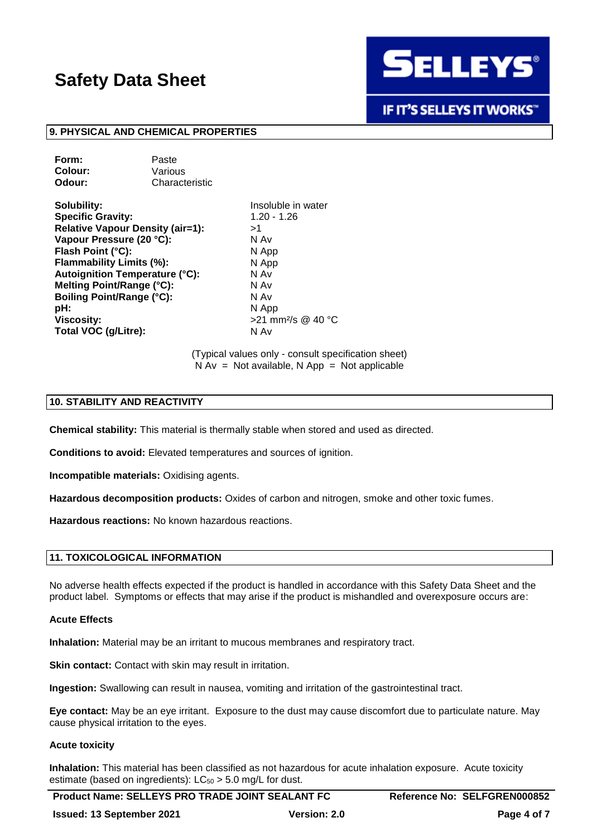

**IF IT'S SELLEYS IT WORKS"** 

#### **9. PHYSICAL AND CHEMICAL PROPERTIES**

| Paste          |
|----------------|
| Various        |
| Characteristic |
|                |

**Solubility:** Insoluble in water **Specific Gravity:** 1.20 - 1.26 **Relative Vapour Density (air=1):** >1 **Vapour Pressure (20 °C):** N Av **Flash Point (°C):** N App **Flammability Limits (%):** N App **Autoignition Temperature (°C):** N Av **Melting Point/Range (°C):** N Av **N** Av **Boiling Point/Range (°C):** N Av **Boiling Point/Range (°C):** pH: N App **Viscosity:**  $>21$  mm<sup>2</sup>/s @ 40 °C **Total VOC (g/Litre):** N Av

(Typical values only - consult specification sheet)  $N Av = Not available, N App = Not applicable$ 

# **10. STABILITY AND REACTIVITY**

**Chemical stability:** This material is thermally stable when stored and used as directed.

**Conditions to avoid:** Elevated temperatures and sources of ignition.

**Incompatible materials:** Oxidising agents.

**Hazardous decomposition products:** Oxides of carbon and nitrogen, smoke and other toxic fumes.

**Hazardous reactions:** No known hazardous reactions.

#### **11. TOXICOLOGICAL INFORMATION**

No adverse health effects expected if the product is handled in accordance with this Safety Data Sheet and the product label. Symptoms or effects that may arise if the product is mishandled and overexposure occurs are:

#### **Acute Effects**

**Inhalation:** Material may be an irritant to mucous membranes and respiratory tract.

**Skin contact:** Contact with skin may result in irritation.

**Ingestion:** Swallowing can result in nausea, vomiting and irritation of the gastrointestinal tract.

**Eye contact:** May be an eye irritant. Exposure to the dust may cause discomfort due to particulate nature. May cause physical irritation to the eyes.

#### **Acute toxicity**

**Inhalation:** This material has been classified as not hazardous for acute inhalation exposure. Acute toxicity estimate (based on ingredients):  $LC_{50} > 5.0$  mg/L for dust.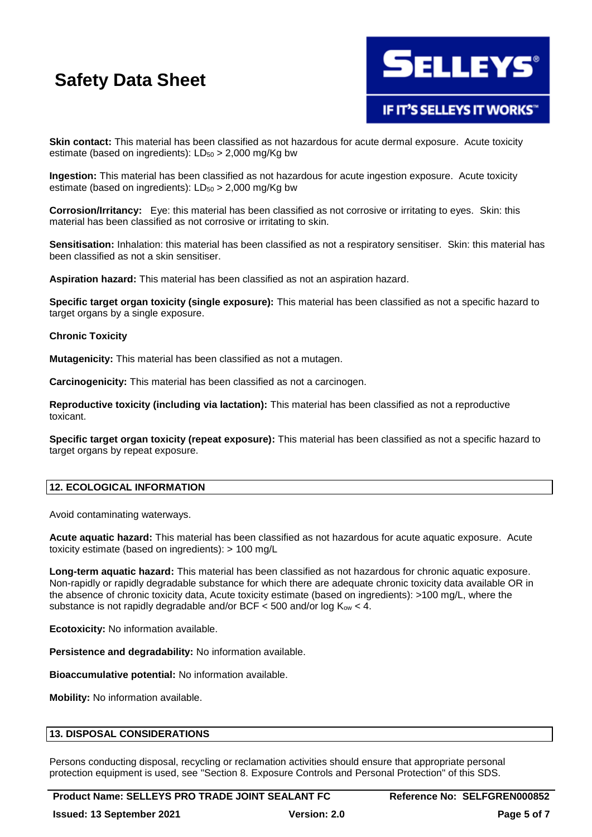

# **IF IT'S SELLEYS IT WORKS"**

**Skin contact:** This material has been classified as not hazardous for acute dermal exposure. Acute toxicity estimate (based on ingredients):  $LD_{50} > 2,000$  mg/Kg bw

**Ingestion:** This material has been classified as not hazardous for acute ingestion exposure. Acute toxicity estimate (based on ingredients):  $LD_{50} > 2,000$  mg/Kg bw

**Corrosion/Irritancy:** Eye: this material has been classified as not corrosive or irritating to eyes. Skin: this material has been classified as not corrosive or irritating to skin.

**Sensitisation:** Inhalation: this material has been classified as not a respiratory sensitiser. Skin: this material has been classified as not a skin sensitiser.

**Aspiration hazard:** This material has been classified as not an aspiration hazard.

**Specific target organ toxicity (single exposure):** This material has been classified as not a specific hazard to target organs by a single exposure.

### **Chronic Toxicity**

**Mutagenicity:** This material has been classified as not a mutagen.

**Carcinogenicity:** This material has been classified as not a carcinogen.

**Reproductive toxicity (including via lactation):** This material has been classified as not a reproductive toxicant.

**Specific target organ toxicity (repeat exposure):** This material has been classified as not a specific hazard to target organs by repeat exposure.

# **12. ECOLOGICAL INFORMATION**

Avoid contaminating waterways.

**Acute aquatic hazard:** This material has been classified as not hazardous for acute aquatic exposure. Acute toxicity estimate (based on ingredients): > 100 mg/L

**Long-term aquatic hazard:** This material has been classified as not hazardous for chronic aquatic exposure. Non-rapidly or rapidly degradable substance for which there are adequate chronic toxicity data available OR in the absence of chronic toxicity data, Acute toxicity estimate (based on ingredients): >100 mg/L, where the substance is not rapidly degradable and/or BCF  $<$  500 and/or log K<sub>ow</sub>  $<$  4.

**Ecotoxicity:** No information available.

**Persistence and degradability:** No information available.

**Bioaccumulative potential:** No information available.

**Mobility:** No information available.

#### **13. DISPOSAL CONSIDERATIONS**

Persons conducting disposal, recycling or reclamation activities should ensure that appropriate personal protection equipment is used, see "Section 8. Exposure Controls and Personal Protection" of this SDS.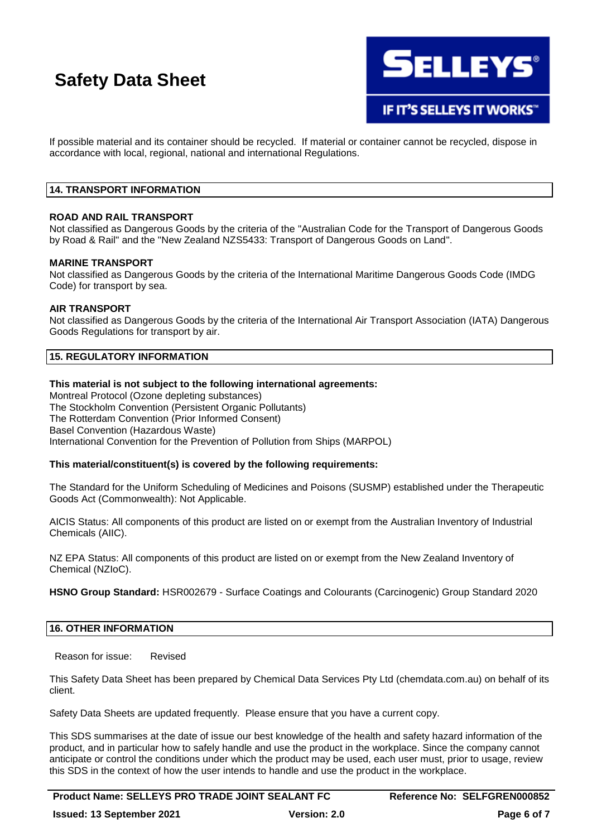

**IF IT'S SELLEYS IT WORKS"** 

If possible material and its container should be recycled. If material or container cannot be recycled, dispose in accordance with local, regional, national and international Regulations.

### **14. TRANSPORT INFORMATION**

### **ROAD AND RAIL TRANSPORT**

Not classified as Dangerous Goods by the criteria of the "Australian Code for the Transport of Dangerous Goods by Road & Rail" and the "New Zealand NZS5433: Transport of Dangerous Goods on Land".

#### **MARINE TRANSPORT**

Not classified as Dangerous Goods by the criteria of the International Maritime Dangerous Goods Code (IMDG Code) for transport by sea.

#### **AIR TRANSPORT**

Not classified as Dangerous Goods by the criteria of the International Air Transport Association (IATA) Dangerous Goods Regulations for transport by air.

# **15. REGULATORY INFORMATION**

# **This material is not subject to the following international agreements:**

Montreal Protocol (Ozone depleting substances) The Stockholm Convention (Persistent Organic Pollutants) The Rotterdam Convention (Prior Informed Consent) Basel Convention (Hazardous Waste) International Convention for the Prevention of Pollution from Ships (MARPOL)

#### **This material/constituent(s) is covered by the following requirements:**

The Standard for the Uniform Scheduling of Medicines and Poisons (SUSMP) established under the Therapeutic Goods Act (Commonwealth): Not Applicable.

AICIS Status: All components of this product are listed on or exempt from the Australian Inventory of Industrial Chemicals (AIIC).

NZ EPA Status: All components of this product are listed on or exempt from the New Zealand Inventory of Chemical (NZIoC).

**HSNO Group Standard:** HSR002679 - Surface Coatings and Colourants (Carcinogenic) Group Standard 2020

# **16. OTHER INFORMATION**

Reason for issue: Revised

This Safety Data Sheet has been prepared by Chemical Data Services Pty Ltd (chemdata.com.au) on behalf of its client.

Safety Data Sheets are updated frequently. Please ensure that you have a current copy.

This SDS summarises at the date of issue our best knowledge of the health and safety hazard information of the product, and in particular how to safely handle and use the product in the workplace. Since the company cannot anticipate or control the conditions under which the product may be used, each user must, prior to usage, review this SDS in the context of how the user intends to handle and use the product in the workplace.